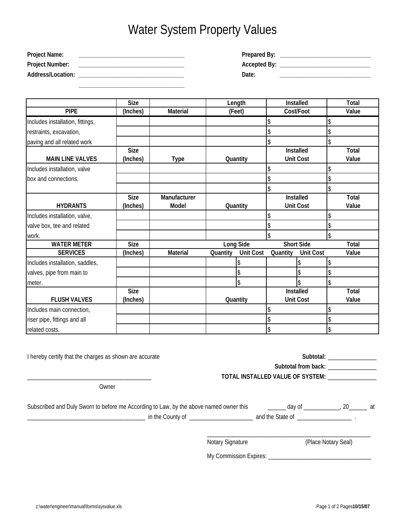## Water System Property Values

| <b>Project Name:</b>   | Prepared By:        |
|------------------------|---------------------|
| <b>Project Number:</b> | <b>Accepted By:</b> |
| Address/Location:      | Date:               |

 **\_\_\_\_\_\_\_\_\_\_\_\_\_\_\_\_\_\_\_\_\_\_\_\_\_\_\_\_\_\_\_\_\_\_\_**

|                                  | <b>Size</b> |              | Length                       |          | Installed         |    | <b>Total</b> |
|----------------------------------|-------------|--------------|------------------------------|----------|-------------------|----|--------------|
| <b>PIPE</b>                      | (Inches)    | Material     | (Feet)                       |          | Cost/Foot         |    | Value        |
| Includes installation, fittings, |             |              |                              |          |                   |    |              |
| restraints, excavation,          |             |              |                              |          |                   | \$ |              |
| paving and all related work      |             |              |                              | \$       |                   | \$ |              |
|                                  | <b>Size</b> |              |                              |          | Installed         |    | Total        |
| <b>MAIN LINE VALVES</b>          | (Inches)    | <b>Type</b>  | Quantity                     |          | <b>Unit Cost</b>  |    | Value        |
| Includes installation, valve     |             |              |                              |          |                   | \$ |              |
| box and connections.             |             |              |                              |          |                   | \$ |              |
|                                  |             |              |                              |          |                   | \$ |              |
|                                  | <b>Size</b> | Manufacturer |                              |          | Installed         |    | Total        |
| <b>HYDRANTS</b>                  | (Inches)    | <b>Model</b> | Quantity                     |          | <b>Unit Cost</b>  |    | Value        |
| Includes installation, valve,    |             |              |                              |          |                   |    |              |
| valve box, tee and related       |             |              |                              | \$       |                   | \$ |              |
| work.                            |             |              |                              | \$       |                   | \$ |              |
| <b>WATER METER</b>               | <b>Size</b> |              | Long Side                    |          | <b>Short Side</b> |    | Total        |
| <b>SERVICES</b>                  | (Inches)    | Material     | <b>Unit Cost</b><br>Quantity | Quantity | <b>Unit Cost</b>  |    | Value        |
| Includes installation, saddles,  |             |              | \$                           |          |                   | \$ |              |
| valves, pipe from main to        |             |              | \$                           |          |                   | \$ |              |
| meter.                           |             |              | \$                           |          |                   | \$ |              |
|                                  | <b>Size</b> |              |                              |          | Installed         |    | Total        |
| <b>FLUSH VALVES</b>              | (Inches)    |              | Quantity                     |          | <b>Unit Cost</b>  |    | Value        |
| Includes main connection,        |             |              |                              |          |                   | S  |              |
| riser pipe, fittings and all     |             |              |                              |          |                   | \$ |              |
| related costs.                   |             |              |                              | \$       |                   | \$ |              |

| I hereby certify that the charges as shown are accurate                                |                  | Subtotal: Subtotal:                                          |  |  |  |
|----------------------------------------------------------------------------------------|------------------|--------------------------------------------------------------|--|--|--|
|                                                                                        |                  | Subtotal from back: National Contract of Subtotal from back: |  |  |  |
|                                                                                        |                  | TOTAL INSTALLED VALUE OF SYSTEM:                             |  |  |  |
| Owner                                                                                  |                  |                                                              |  |  |  |
| Subscribed and Duly Sworn to before me According to Law, by the above named owner this |                  | <u>_______</u> day of ______________, 20________ at          |  |  |  |
|                                                                                        |                  |                                                              |  |  |  |
|                                                                                        | Notary Signature | (Place Notary Seal)                                          |  |  |  |
|                                                                                        |                  |                                                              |  |  |  |